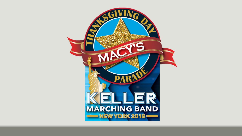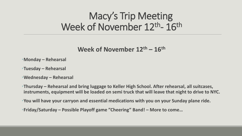#### Macy's Trip Meeting Week of November 12<sup>th</sup>- 16<sup>th</sup>

**Week of November 12th – 16th**

- •**Monday – Rehearsal**
- •**Tuesday – Rehearsal**
- •**Wednesday – Rehearsal**
- •**Thursday – Rehearsal and bring luggage to Keller High School. After rehearsal, all suitcases, instruments, equipment will be loaded on semi truck that will leave that night to drive to NYC.**
- •**You will have your carryon and essential medications with you on your Sunday plane ride.**
- •**Friday/Saturday – Possible Playoff game "Cheering" Band! – More to come…**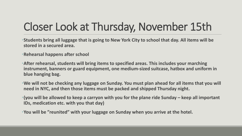# Closer Look at Thursday, November 15th

•**Students bring all luggage that is going to New York City to school that day. All items will be stored in a secured area.** 

•**Rehearsal happens after school**

•**After rehearsal, students will bring items to specified areas. This includes your marching instrument, banners or guard equipment, one medium-sized suitcase, hatbox and uniform in blue hanging bag.** 

•**We will not be checking any luggage on Sunday. You must plan ahead for all items that you will need in NYC, and then those items must be packed and shipped Thursday night.** 

•**(you will be allowed to keep a carryon with you for the plane ride Sunday – keep all important IDs, medication etc. with you that day)**

•**You will be "reunited" with your luggage on Sunday when you arrive at the hotel.**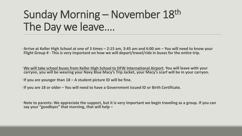#### Sunday Morning – November 18th The Day we leave….

•**Arrive at Keller High School at one of 3 times – 2:15 am, 3:45 am and 6:00 am – You will need to know your Flight Group # - This is very important on how we will depart/travel/ride in buses for the entire trip.** 

•**We will take school buses from Keller High School to DFW International Airport. You will leave with your carryon, you will be wearing your Navy Blue Macy's Trip Jacket, your Macy's scarf will be in your carryon.** 

•**If you are younger than 18 – A student picture ID will be fine.** 

•**If you are 18 or older – You will need to have a Government Issued ID or Birth Certificate.**

•**Note to parents: We appreciate the support, but it is very important we begin traveling as a group. If you can say your "goodbyes" that morning, that will help –**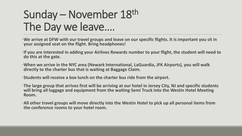#### Sunday – November 18th The Day we leave….

- •**We arrive at DFW with our travel groups and leave on our specific flights. It is important you sit in your assigned seat on the flight. Bring headphones!**
- •**If you are interested in adding your Airlines Rewards number to your flight, the student will need to do this at the gate.**
- •**When we arrive in the NYC area (Newark International, LaGuardia, JFK Airports), you will walk directly to the charter bus that is waiting at Baggage Claim.**
- •**Students will receive a box lunch on the charter bus ride from the airport.**
- •**The large group that arrives first will be arriving at our hotel in Jersey City, NJ and specific students will bring all luggage and equipment from the waiting Semi Truck into the Westin Hotel Meeting Room.**
- •**All other travel groups will move directly into the Westin Hotel to pick up all personal items from the conference rooms to your hotel room.**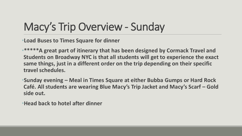# Macy's Trip Overview - Sunday

•**Load Buses to Times Square for dinner**

•**\*\*\*\*\*A great part of itinerary that has been designed by Cormack Travel and Students on Broadway NYC is that all students will get to experience the exact same things, just in a different order on the trip depending on their specific travel schedules.** 

•**Sunday evening – Meal in Times Square at either Bubba Gumps or Hard Rock Café. All students are wearing Blue Macy's Trip Jacket and Macy's Scarf – Gold side out.** 

•**Head back to hotel after dinner**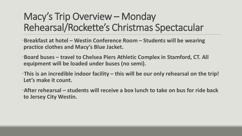#### Macy's Trip Overview – Monday Rehearsal/Rockette's Christmas Spectacular

- •**Breakfast at hotel – Westin Conference Room – Students will be wearing practice clothes and Macy's Blue Jacket.**
- •**Board buses – travel to Chelsea Piers Athletic Complex in Stamford, CT. All equipment will be loaded under buses (no semi).**
- •**This is an incredible indoor facility – this will be our only rehearsal on the trip! Let's make it count.**
- •**After rehearsal – students will receive a box lunch to take on bus for ride back to Jersey City Westin.**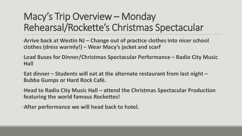#### Macy's Trip Overview – Monday Rehearsal/Rockette's Christmas Spectacular

- •**Arrive back at Westin NJ – Change out of practice clothes into nicer school clothes (dress warmly!) – Wear Macy's jacket and scarf**
- •**Load Buses for Dinner/Christmas Spectacular Performance – Radio City Music Hall**
- •**Eat dinner – Students will eat at the alternate restaurant from last night – Bubba Gumps or Hard Rock Café.**
- •**Head to Radio City Music Hall – attend the Christmas Spectacular Production featuring the world famous Rockettes!**
- •**After performance we will head back to hotel.**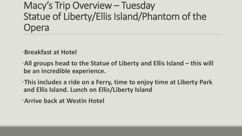Macy's Trip Overview – Tuesday Statue of Liberty/Ellis Island/Phantom of the Opera

•**Breakfast at Hotel**

•**All groups head to the Statue of Liberty and Ellis Island – this will be an incredible experience.** 

•**This includes a ride on a Ferry, time to enjoy time at Liberty Park and Ellis Island. Lunch on Ellis/Liberty Island**

•**Arrive back at Westin Hotel**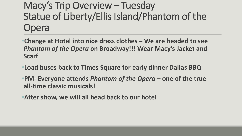Macy's Trip Overview – Tuesday Statue of Liberty/Ellis Island/Phantom of the Opera

•**Change at Hotel into nice dress clothes – We are headed to see**  *Phantom of the Opera* **on Broadway!!! Wear Macy's Jacket and Scarf**

- •**Load buses back to Times Square for early dinner Dallas BBQ**
- •**PM- Everyone attends** *Phantom of the Opera* **– one of the true all-time classic musicals!**
- •**After show, we will all head back to our hotel**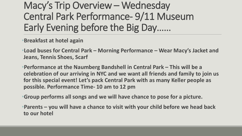#### Macy's Trip Overview – Wednesday Central Park Performance- 9/11 Museum Early Evening before the Big Day……

•**Breakfast at hotel again**

•**Load buses for Central Park – Morning Performance – Wear Macy's Jacket and Jeans, Tennis Shoes, Scarf**

•**Performance at the Naumberg Bandshell in Central Park – This will be a celebration of our arriving in NYC and we want all friends and family to join us for this special event! Let's pack Central Park with as many Keller people as possible. Performance Time- 10 am to 12 pm**

•**Group performs all songs and we will have chance to pose for a picture.** 

•**Parents – you will have a chance to visit with your child before we head back to our hotel**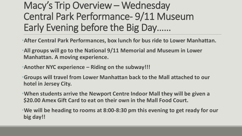#### Macy's Trip Overview – Wednesday Central Park Performance- 9/11 Museum Early Evening before the Big Day……

- •**After Central Park Performances, box lunch for bus ride to Lower Manhattan.**
- •**All groups will go to the National 9/11 Memorial and Museum in Lower Manhattan. A moving experience.**
- •**Another NYC experience – Riding on the subway!!!**
- •**Groups will travel from Lower Manhattan back to the Mall attached to our hotel in Jersey City.**
- •**When students arrive the Newport Centre Indoor Mall they will be given a \$20.00 Amex Gift Card to eat on their own in the Mall Food Court.**
- •**We will be heading to rooms at 8:00-8:30 pm this evening to get ready for our big day!!**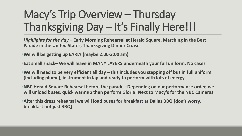*Highlights for the day* **– Early Morning Rehearsal at Herald Square, Marching in the Best Parade in the United States, Thanksgiving Dinner Cruise**

•**We will be getting up EARLY (maybe 2:00-3:00 am)**

•**Eat small snack– We will leave in MANY LAYERS underneath your full uniform. No cases**

•**We will need to be very efficient all day – this includes you stepping off bus in full uniform (including plume), instrument in lap and ready to perform with lots of energy.** 

•**NBC Herald Square Rehearsal before the parade –Depending on our performance order, we will unload buses, quick warmup then perform Gloria! Next to Macy's for the NBC Cameras.** 

•**After this dress rehearsal we will load buses for breakfast at Dallas BBQ (don't worry, breakfast not just BBQ)**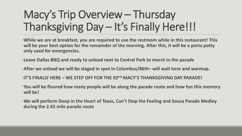•**While we are at breakfast, you are required to use the restroom while in this restaurant! This will be your best option for the remainder of the morning. After this, it will be a porta potty only used for emergencies.** 

•**Leave Dallas BBQ and ready to unload next to Central Park to march in the parade**

•**After we unload we will be staged in spot in Columbus/86th– will wait here and warmup.**

•**IT'S FINALLY HERE – WE STEP OFF FOR THE 92nd MACY'S THANKSGIVING DAY PARADE!**

•**You will be floored how many people will be along the parade route and how fun this memory will be!**

•**We will perform Deep in the Heart of Texas, Can't Stop the Feeling and Sousa Parade Medley during the 2.65 mile parade route**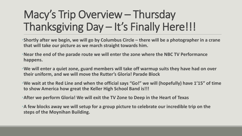•**Shortly after we begin, we will go by Columbus Circle – there will be a photographer in a crane that will take our picture as we march straight towards him.** 

- •**Near the end of the parade route we will enter the zone where the NBC TV Performance happens.**
- •**We will enter a quiet zone, guard members will take off warmup suits they have had on over their uniform, and we will move the Rutter's Gloria! Parade Block**
- •**We wait at the Red Line and when the official says "Go!" we will (hopefully) have 1'15" of time to show America how great the Keller High School Band is!!!**
- •**After we perform Gloria! We will exit the TV Zone to Deep in the Heart of Texas**
- •**A few blocks away we will setup for a group picture to celebrate our incredible trip on the steps of the Moynihan Building.**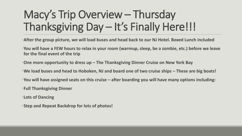- •**After the group picture, we will load buses and head back to our NJ Hotel. Boxed Lunch included**
- •**You will have a FEW hours to relax in your room (warmup, sleep, be a zombie, etc.) before we leave for the final event of the trip**
- •**One more opportunity to dress up – The Thanksgiving Dinner Cruise on New York Bay**
- •**We load buses and head to Hoboken, NJ and board one of two cruise ships – These are big boats!**
- •**You will have assigned seats on this cruise – after boarding you will have many options including:**
- •**Full Thanksgiving Dinner**
- •**Lots of Dancing**
- •**Step and Repeat Backdrop for lots of photos!**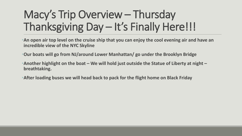•**An open air top level on the cruise ship that you can enjoy the cool evening air and have an incredible view of the NYC Skyline**

- •**Our boats will go from NJ/around Lower Manhattan/ go under the Brooklyn Bridge**
- •**Another highlight on the boat – We will hold just outside the Statue of Liberty at night – breathtaking.**
- •**After loading buses we will head back to pack for the flight home on Black Friday**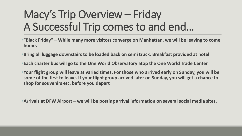#### Macy's Trip Overview – Friday A Successful Trip comes to and end…

•**"Black Friday" – While many more visitors converge on Manhattan, we will be leaving to come home.**

•**Bring all luggage downstairs to be loaded back on semi truck. Breakfast provided at hotel**

•**Each charter bus will go to the One World Observatory atop the One World Trade Center**

•**Your flight group will leave at varied times. For those who arrived early on Sunday, you will be some of the first to leave. If your flight group arrived later on Sunday, you will get a chance to shop for souvenirs etc. before you depart**

•**Arrivals at DFW Airport – we will be posting arrival information on several social media sites.**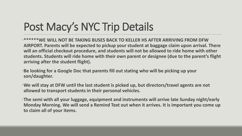# Post Macy's NYC Trip Details

**•\*\*\*\*\*\*WE WILL NOT BE TAKING BUSES BACK TO KELLER HS AFTER ARRIVING FROM DFW AIRPORT. Parents will be expected to pickup your student at baggage claim upon arrival. There will an official checkout procedure, and students will not be allowed to ride home with other students. Students will ride home with their own parent or designee (due to the parent's flight arriving after the student flight).** 

•**Be looking for a Google Doc that parents fill out stating who will be picking up your son/daughter.** 

•**We will stay at DFW until the last student is picked up, but directors/travel agents are not allowed to transport students in their personal vehicles.** 

•**The semi with all your luggage, equipment and instruments will arrive late Sunday night/early Monday Morning. We will send a Remind Text out when it arrives. It is important you come up to claim all of your items.**